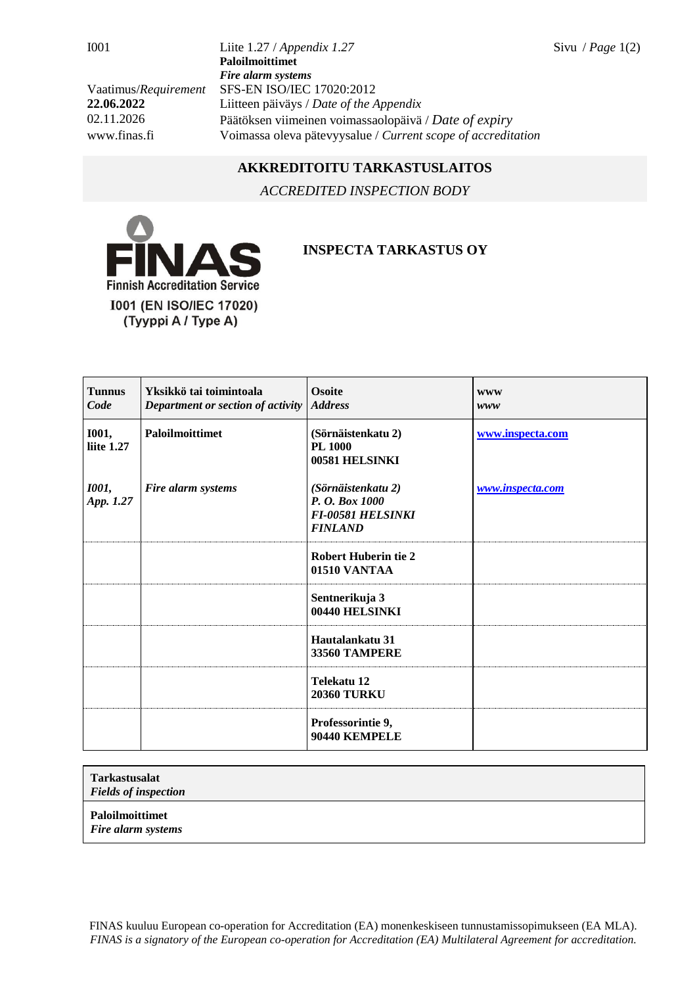I001 Liite 1.27 / *Appendix 1.27* Sivu / *Page* 1(2) **Paloilmoittimet** *Fire alarm systems* Vaatimus/*Requirement* SFS-EN ISO/IEC 17020:2012 **22.06.2022** Liitteen päiväys / *Date of the Appendix* 02.11.2026 Päätöksen viimeinen voimassaolopäivä / *Date of expiry* www.finas.fi Voimassa oleva pätevyysalue / *Current scope of accreditation*

## **AKKREDITOITU TARKASTUSLAITOS**

*ACCREDITED INSPECTION BODY*



## **INSPECTA TARKASTUS OY**

| <b>Tunnus</b><br>Code      | Yksikkö tai toimintoala<br>Department or section of activity | <b>Osoite</b><br><b>Address</b>                                                    | <b>WWW</b><br>www |
|----------------------------|--------------------------------------------------------------|------------------------------------------------------------------------------------|-------------------|
| <b>I001,</b><br>liite 1.27 | <b>Paloilmoittimet</b>                                       | (Sörnäistenkatu 2)<br>PL 1000<br>00581 HELSINKI                                    | www.inspecta.com  |
| <b>1001</b> ,<br>App. 1.27 | Fire alarm systems                                           | (Sörnäistenkatu 2)<br>P. O. Box 1000<br><b>FI-00581 HELSINKI</b><br><b>FINLAND</b> | www.inspecta.com  |
|                            |                                                              | <b>Robert Huberin tie 2</b><br>01510 VANTAA                                        |                   |
|                            |                                                              | Sentnerikuja 3<br>00440 HELSINKI                                                   |                   |
|                            |                                                              | Hautalankatu 31<br>33560 TAMPERE                                                   |                   |
|                            |                                                              | Telekatu 12<br><b>20360 TURKU</b>                                                  |                   |
|                            |                                                              | Professorintie 9,<br>90440 KEMPELE                                                 |                   |

**Tarkastusalat**

*Fields of inspection*

**Paloilmoittimet**

*Fire alarm systems*